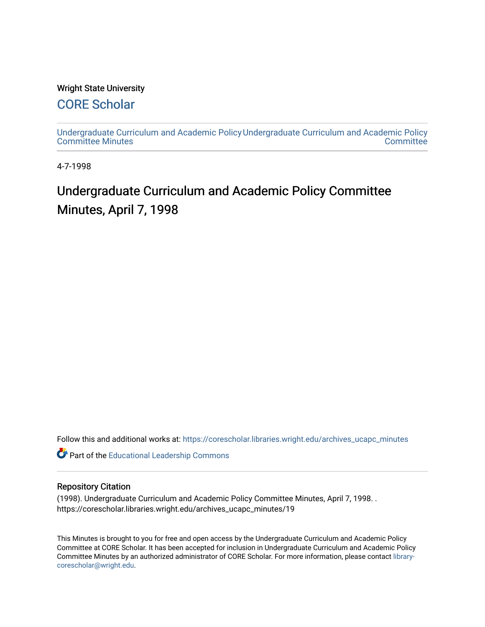#### Wright State University

## [CORE Scholar](https://corescholar.libraries.wright.edu/)

[Undergraduate Curriculum and Academic Policy](https://corescholar.libraries.wright.edu/archives_ucapc_minutes) [Undergraduate Curriculum and Academic Policy](https://corescholar.libraries.wright.edu/archives_ucapc)  [Committee Minutes](https://corescholar.libraries.wright.edu/archives_ucapc_minutes) **Committee** 

4-7-1998

# Undergraduate Curriculum and Academic Policy Committee Minutes, April 7, 1998

Follow this and additional works at: [https://corescholar.libraries.wright.edu/archives\\_ucapc\\_minutes](https://corescholar.libraries.wright.edu/archives_ucapc_minutes?utm_source=corescholar.libraries.wright.edu%2Farchives_ucapc_minutes%2F19&utm_medium=PDF&utm_campaign=PDFCoverPages) 

Part of the [Educational Leadership Commons](http://network.bepress.com/hgg/discipline/1230?utm_source=corescholar.libraries.wright.edu%2Farchives_ucapc_minutes%2F19&utm_medium=PDF&utm_campaign=PDFCoverPages) 

#### Repository Citation

(1998). Undergraduate Curriculum and Academic Policy Committee Minutes, April 7, 1998. . https://corescholar.libraries.wright.edu/archives\_ucapc\_minutes/19

This Minutes is brought to you for free and open access by the Undergraduate Curriculum and Academic Policy Committee at CORE Scholar. It has been accepted for inclusion in Undergraduate Curriculum and Academic Policy Committee Minutes by an authorized administrator of CORE Scholar. For more information, please contact [library](mailto:library-corescholar@wright.edu)[corescholar@wright.edu](mailto:library-corescholar@wright.edu).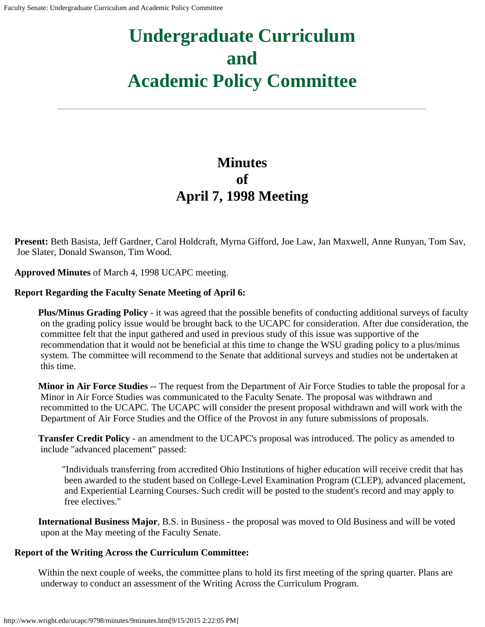# **Undergraduate Curriculum and Academic Policy Committee**

# **Minutes of April 7, 1998 Meeting**

**Present:** Beth Basista, Jeff Gardner, Carol Holdcraft, Myrna Gifford, Joe Law, Jan Maxwell, Anne Runyan, Tom Sav, Joe Slater, Donald Swanson, Tim Wood.

**Approved Minutes** of March 4, 1998 UCAPC meeting.

#### **Report Regarding the Faculty Senate Meeting of April 6:**

**Plus/Minus Grading Policy** - it was agreed that the possible benefits of conducting additional surveys of faculty on the grading policy issue would be brought back to the UCAPC for consideration. After due consideration, the committee felt that the input gathered and used in previous study of this issue was supportive of the recommendation that it would not be beneficial at this time to change the WSU grading policy to a plus/minus system. The committee will recommend to the Senate that additional surveys and studies not be undertaken at this time.

**Minor in Air Force Studies** -- The request from the Department of Air Force Studies to table the proposal for a Minor in Air Force Studies was communicated to the Faculty Senate. The proposal was withdrawn and recommitted to the UCAPC. The UCAPC will consider the present proposal withdrawn and will work with the Department of Air Force Studies and the Office of the Provost in any future submissions of proposals.

**Transfer Credit Policy** - an amendment to the UCAPC's proposal was introduced. The policy as amended to include "advanced placement" passed:

"Individuals transferring from accredited Ohio Institutions of higher education will receive credit that has been awarded to the student based on College-Level Examination Program (CLEP), advanced placement, and Experiential Learning Courses. Such credit will be posted to the student's record and may apply to free electives."

**International Business Major**, B.S. in Business - the proposal was moved to Old Business and will be voted upon at the May meeting of the Faculty Senate.

#### **Report of the Writing Across the Curriculum Committee:**

Within the next couple of weeks, the committee plans to hold its first meeting of the spring quarter. Plans are underway to conduct an assessment of the Writing Across the Curriculum Program.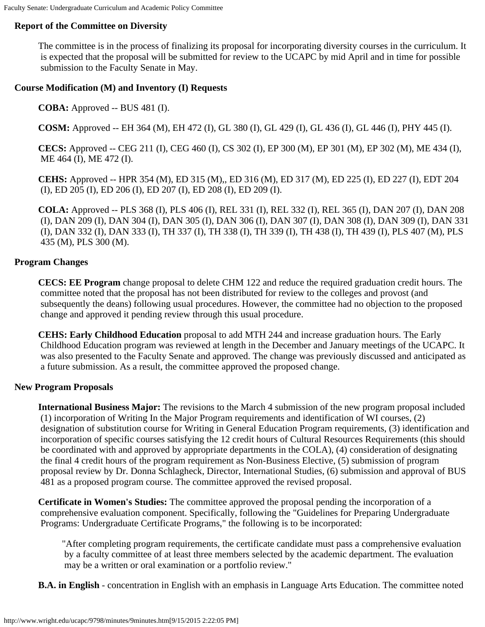### **Report of the Committee on Diversity**

The committee is in the process of finalizing its proposal for incorporating diversity courses in the curriculum. It is expected that the proposal will be submitted for review to the UCAPC by mid April and in time for possible submission to the Faculty Senate in May.

#### **Course Modification (M) and Inventory (I) Requests**

**COBA:** Approved -- BUS 481 (I).

**COSM:** Approved -- EH 364 (M), EH 472 (I), GL 380 (I), GL 429 (I), GL 436 (I), GL 446 (I), PHY 445 (I).

**CECS:** Approved -- CEG 211 (I), CEG 460 (I), CS 302 (I), EP 300 (M), EP 301 (M), EP 302 (M), ME 434 (I), ME 464 (I), ME 472 (I).

**CEHS:** Approved -- HPR 354 (M), ED 315 (M),, ED 316 (M), ED 317 (M), ED 225 (I), ED 227 (I), EDT 204 (I), ED 205 (I), ED 206 (I), ED 207 (I), ED 208 (I), ED 209 (I).

**COLA:** Approved -- PLS 368 (I), PLS 406 (I), REL 331 (I), REL 332 (I), REL 365 (I), DAN 207 (I), DAN 208 (I), DAN 209 (I), DAN 304 (I), DAN 305 (I), DAN 306 (I), DAN 307 (I), DAN 308 (I), DAN 309 (I), DAN 331 (I), DAN 332 (I), DAN 333 (I), TH 337 (I), TH 338 (I), TH 339 (I), TH 438 (I), TH 439 (I), PLS 407 (M), PLS 435 (M), PLS 300 (M).

#### **Program Changes**

**CECS: EE Program** change proposal to delete CHM 122 and reduce the required graduation credit hours. The committee noted that the proposal has not been distributed for review to the colleges and provost (and subsequently the deans) following usual procedures. However, the committee had no objection to the proposed change and approved it pending review through this usual procedure.

**CEHS: Early Childhood Education** proposal to add MTH 244 and increase graduation hours. The Early Childhood Education program was reviewed at length in the December and January meetings of the UCAPC. It was also presented to the Faculty Senate and approved. The change was previously discussed and anticipated as a future submission. As a result, the committee approved the proposed change.

#### **New Program Proposals**

**International Business Major:** The revisions to the March 4 submission of the new program proposal included (1) incorporation of Writing In the Major Program requirements and identification of WI courses, (2) designation of substitution course for Writing in General Education Program requirements, (3) identification and incorporation of specific courses satisfying the 12 credit hours of Cultural Resources Requirements (this should be coordinated with and approved by appropriate departments in the COLA), (4) consideration of designating the final 4 credit hours of the program requirement as Non-Business Elective, (5) submission of program proposal review by Dr. Donna Schlagheck, Director, International Studies, (6) submission and approval of BUS 481 as a proposed program course. The committee approved the revised proposal.

**Certificate in Women's Studies:** The committee approved the proposal pending the incorporation of a comprehensive evaluation component. Specifically, following the "Guidelines for Preparing Undergraduate Programs: Undergraduate Certificate Programs," the following is to be incorporated:

"After completing program requirements, the certificate candidate must pass a comprehensive evaluation by a faculty committee of at least three members selected by the academic department. The evaluation may be a written or oral examination or a portfolio review."

**B.A. in English** - concentration in English with an emphasis in Language Arts Education. The committee noted